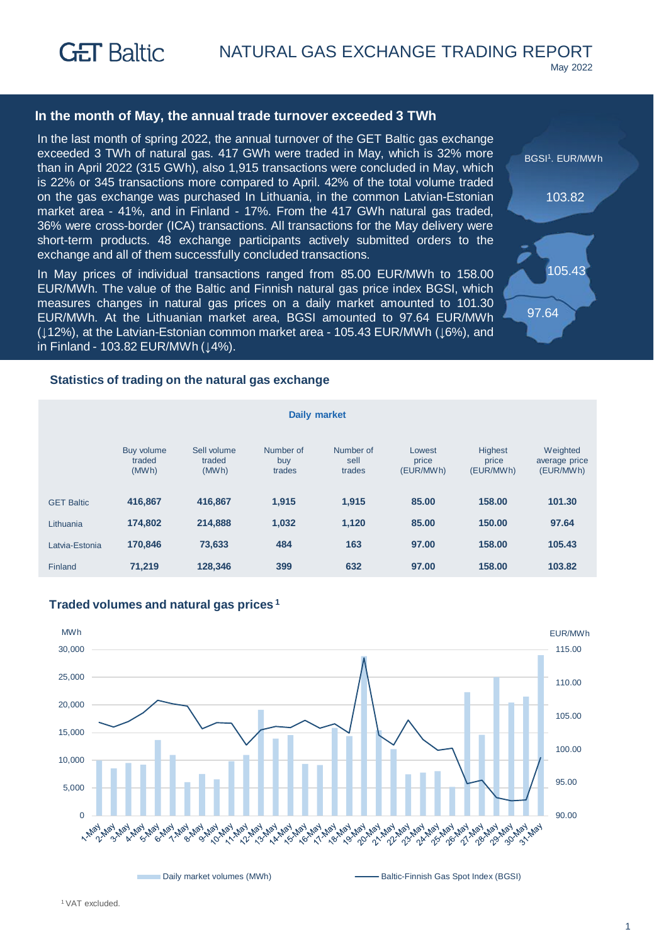### **In the month of May, the annual trade turnover exceeded 3 TWh**

In the last month of spring 2022, the annual turnover of the GET Baltic gas exchange exceeded 3 TWh of natural gas. 417 GWh were traded in May, which is 32% more than in April 2022 (315 GWh), also 1,915 transactions were concluded in May, which is 22% or 345 transactions more compared to April. 42% of the total volume traded on the gas exchange was purchased In Lithuania, in the common Latvian-Estonian market area - 41%, and in Finland - 17%. From the 417 GWh natural gas traded, 36% were cross-border (ICA) transactions. All transactions for the May delivery were short-term products. 48 exchange participants actively submitted orders to the exchange and all of them successfully concluded transactions.

In May prices of individual transactions ranged from 85.00 EUR/MWh to 158.00 EUR/MWh. The value of the Baltic and Finnish natural gas price index BGSI, which measures changes in natural gas prices on a daily market amounted to 101.30 EUR/MWh. At the Lithuanian market area, BGSI amounted to 97.64 EUR/MWh (↓12%), at the Latvian-Estonian common market area - 105.43 EUR/MWh (↓6%), and in Finland - 103.82 EUR/MWh (↓4%).



#### **Statistics of trading on the natural gas exchange**

| <b>Daily market</b> |                               |                                |                            |                             |                              |                                      |                                        |  |
|---------------------|-------------------------------|--------------------------------|----------------------------|-----------------------------|------------------------------|--------------------------------------|----------------------------------------|--|
|                     | Buy volume<br>traded<br>(MWh) | Sell volume<br>traded<br>(MWh) | Number of<br>buy<br>trades | Number of<br>sell<br>trades | Lowest<br>price<br>(EUR/MWh) | <b>Highest</b><br>price<br>(EUR/MWh) | Weighted<br>average price<br>(EUR/MWh) |  |
| <b>GET Baltic</b>   | 416.867                       | 416.867                        | 1,915                      | 1.915                       | 85.00                        | 158.00                               | 101.30                                 |  |
| Lithuania           | 174.802                       | 214.888                        | 1,032                      | 1,120                       | 85.00                        | 150.00                               | 97.64                                  |  |
| Latvia-Estonia      | 170,846                       | 73,633                         | 484                        | 163                         | 97.00                        | 158.00                               | 105.43                                 |  |
| Finland             | 71,219                        | 128,346                        | 399                        | 632                         | 97.00                        | 158.00                               | 103.82                                 |  |



### **Traded volumes and natural gas prices <sup>1</sup>**